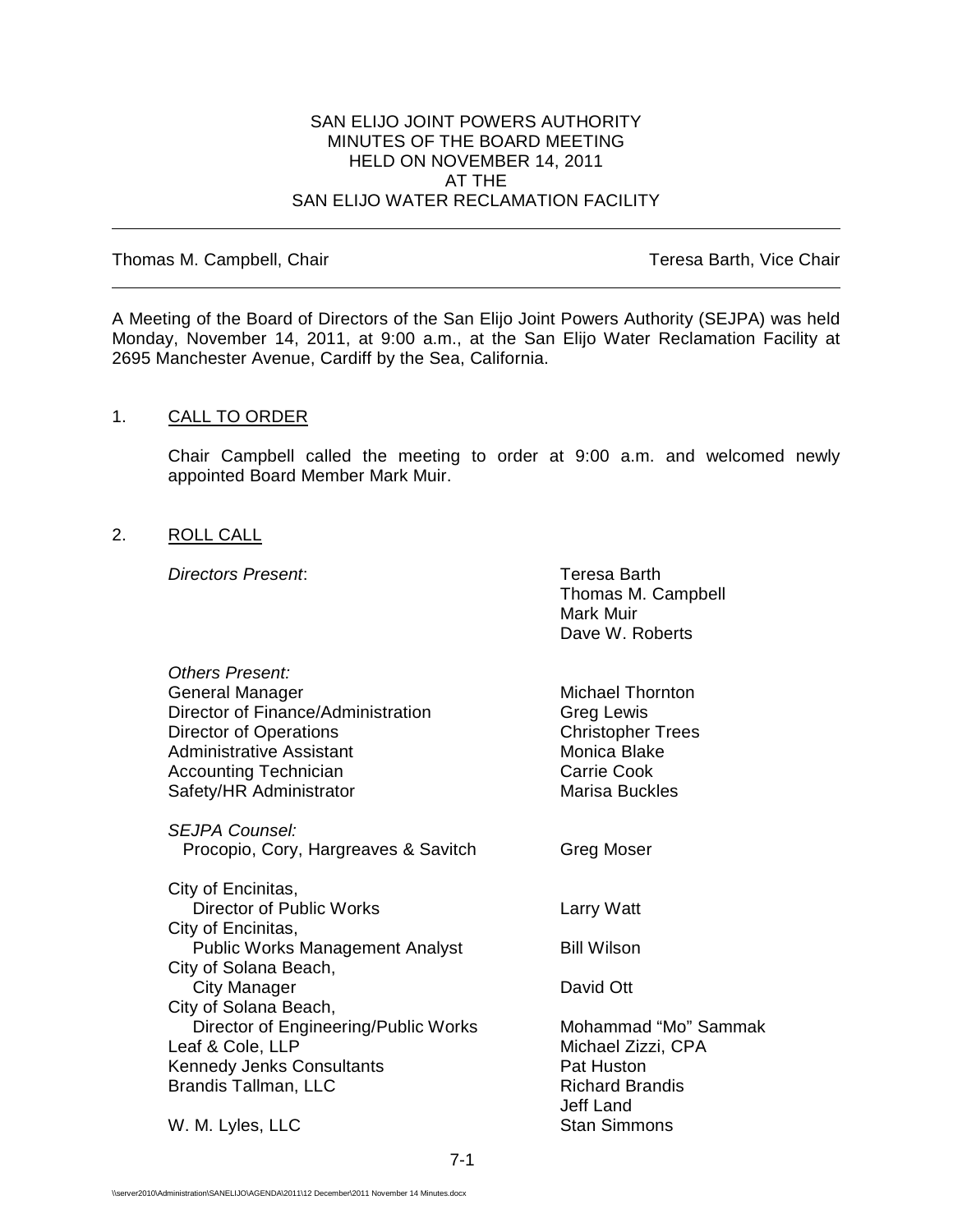#### SAN ELIJO JOINT POWERS AUTHORITY MINUTES OF THE BOARD MEETING HELD ON NOVEMBER 14, 2011 AT THE SAN ELIJO WATER RECLAMATION FACILITY

Thomas M. Campbell, Chair Thomas M. Campbell, Chair

A Meeting of the Board of Directors of the San Elijo Joint Powers Authority (SEJPA) was held Monday, November 14, 2011, at 9:00 a.m., at the San Elijo Water Reclamation Facility at 2695 Manchester Avenue, Cardiff by the Sea, California.

## 1. CALL TO ORDER

Chair Campbell called the meeting to order at 9:00 a.m. and welcomed newly appointed Board Member Mark Muir.

#### 2. ROLL CALL

*Directors Present*: Teresa Barth

|                                        | Thomas M. Campbell<br>Mark Muir<br>Dave W. Roberts |
|----------------------------------------|----------------------------------------------------|
| Others Present:                        |                                                    |
| General Manager                        | <b>Michael Thornton</b>                            |
| Director of Finance/Administration     | <b>Greg Lewis</b>                                  |
| <b>Director of Operations</b>          | <b>Christopher Trees</b>                           |
| <b>Administrative Assistant</b>        | Monica Blake                                       |
| <b>Accounting Technician</b>           | <b>Carrie Cook</b>                                 |
| Safety/HR Administrator                | <b>Marisa Buckles</b>                              |
| <b>SEJPA Counsel:</b>                  |                                                    |
| Procopio, Cory, Hargreaves & Savitch   | Greg Moser                                         |
| City of Encinitas,                     |                                                    |
| Director of Public Works               | <b>Larry Watt</b>                                  |
| City of Encinitas,                     |                                                    |
| <b>Public Works Management Analyst</b> | <b>Bill Wilson</b>                                 |
| City of Solana Beach,                  |                                                    |
| <b>City Manager</b>                    | David Ott                                          |
| City of Solana Beach,                  |                                                    |
| Director of Engineering/Public Works   | Mohammad "Mo" Sammak                               |
| Leaf & Cole, LLP                       | Michael Zizzi, CPA                                 |
| <b>Kennedy Jenks Consultants</b>       | Pat Huston                                         |
| Brandis Tallman, LLC                   | <b>Richard Brandis</b>                             |
|                                        | Jeff Land                                          |
| W. M. Lyles, LLC                       | <b>Stan Simmons</b>                                |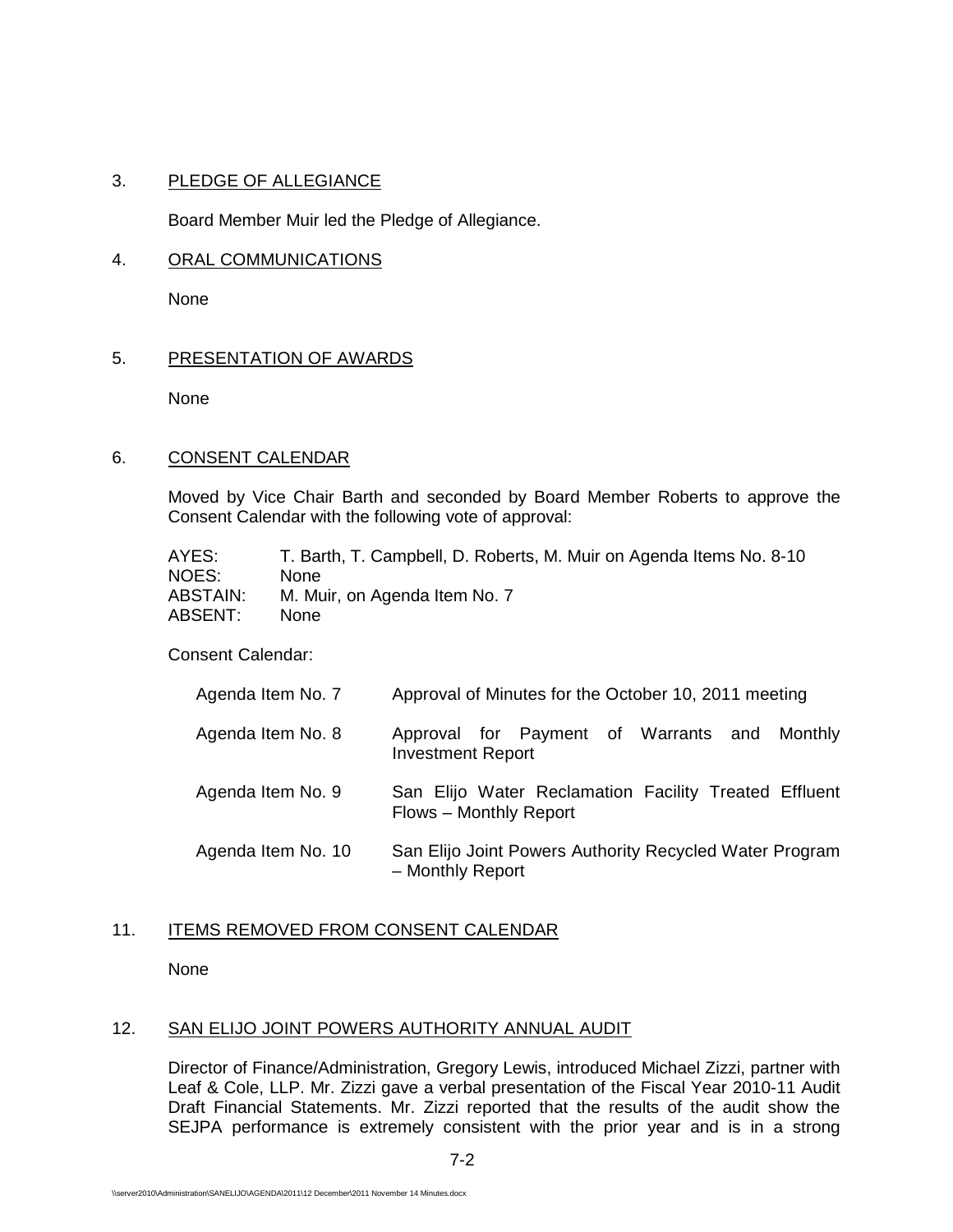## 3. PLEDGE OF ALLEGIANCE

Board Member Muir led the Pledge of Allegiance.

#### 4. ORAL COMMUNICATIONS

None

# 5. PRESENTATION OF AWARDS

None

#### 6. CONSENT CALENDAR

Moved by Vice Chair Barth and seconded by Board Member Roberts to approve the Consent Calendar with the following vote of approval:

| AYES:           | T. Barth, T. Campbell, D. Roberts, M. Muir on Agenda Items No. 8-10 |
|-----------------|---------------------------------------------------------------------|
| NOES:           | None.                                                               |
| <b>ABSTAIN:</b> | M. Muir, on Agenda Item No. 7                                       |
| ABSENT:         | <b>None</b>                                                         |

Consent Calendar:

| Agenda Item No. 7  | Approval of Minutes for the October 10, 2011 meeting                            |
|--------------------|---------------------------------------------------------------------------------|
| Agenda Item No. 8  | Approval for Payment of Warrants and Monthly<br><b>Investment Report</b>        |
| Agenda Item No. 9  | San Elijo Water Reclamation Facility Treated Effluent<br>Flows - Monthly Report |
| Agenda Item No. 10 | San Elijo Joint Powers Authority Recycled Water Program<br>- Monthly Report     |

# 11. ITEMS REMOVED FROM CONSENT CALENDAR

None

## 12. SAN ELIJO JOINT POWERS AUTHORITY ANNUAL AUDIT

Director of Finance/Administration, Gregory Lewis, introduced Michael Zizzi, partner with Leaf & Cole, LLP. Mr. Zizzi gave a verbal presentation of the Fiscal Year 2010-11 Audit Draft Financial Statements. Mr. Zizzi reported that the results of the audit show the SEJPA performance is extremely consistent with the prior year and is in a strong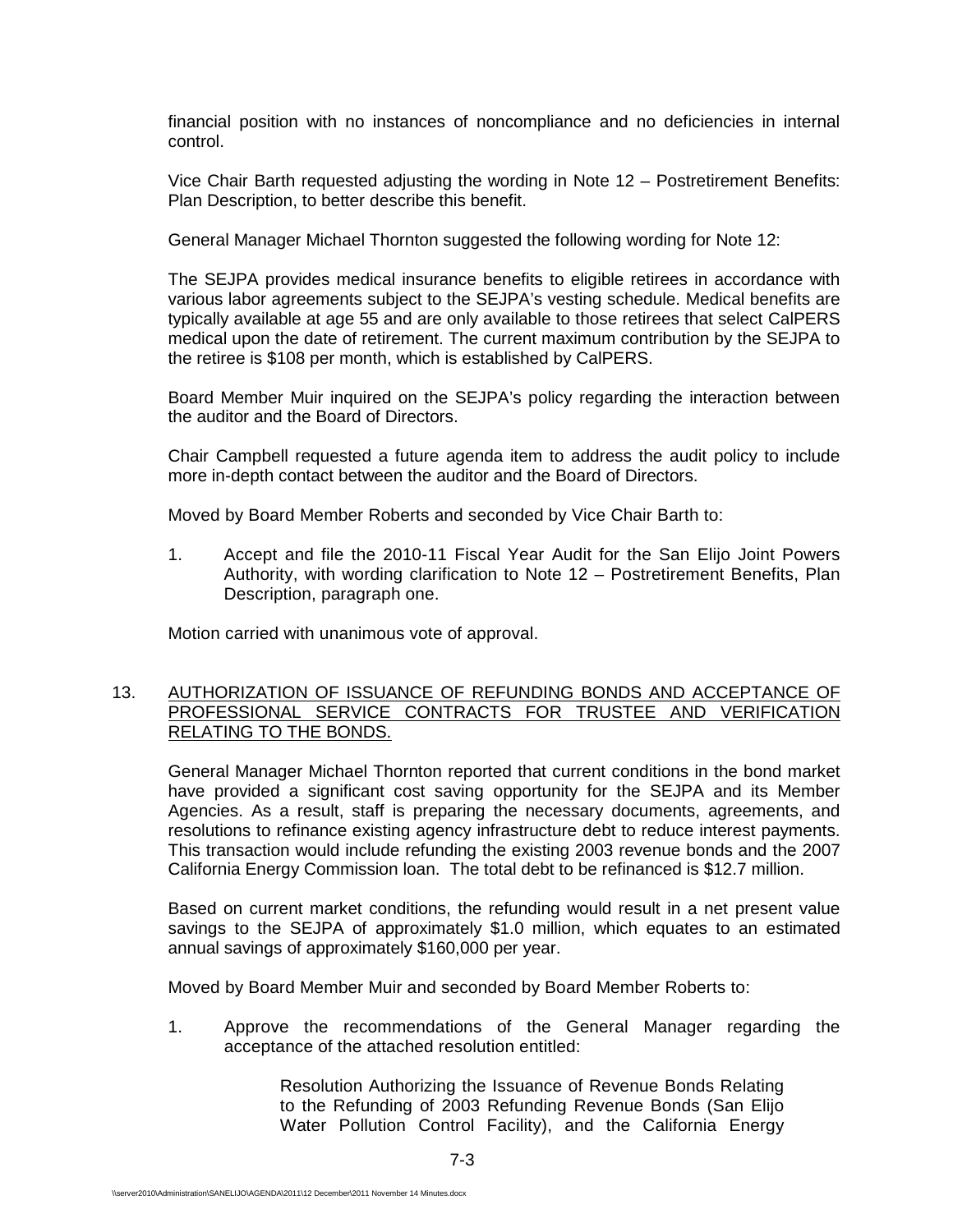financial position with no instances of noncompliance and no deficiencies in internal control.

Vice Chair Barth requested adjusting the wording in Note 12 – Postretirement Benefits: Plan Description, to better describe this benefit.

General Manager Michael Thornton suggested the following wording for Note 12:

The SEJPA provides medical insurance benefits to eligible retirees in accordance with various labor agreements subject to the SEJPA's vesting schedule. Medical benefits are typically available at age 55 and are only available to those retirees that select CalPERS medical upon the date of retirement. The current maximum contribution by the SEJPA to the retiree is \$108 per month, which is established by CalPERS.

Board Member Muir inquired on the SEJPA's policy regarding the interaction between the auditor and the Board of Directors.

Chair Campbell requested a future agenda item to address the audit policy to include more in-depth contact between the auditor and the Board of Directors.

Moved by Board Member Roberts and seconded by Vice Chair Barth to:

1. Accept and file the 2010-11 Fiscal Year Audit for the San Elijo Joint Powers Authority, with wording clarification to Note 12 – Postretirement Benefits, Plan Description, paragraph one.

Motion carried with unanimous vote of approval.

#### 13. AUTHORIZATION OF ISSUANCE OF REFUNDING BONDS AND ACCEPTANCE OF PROFESSIONAL SERVICE CONTRACTS FOR TRUSTEE AND VERIFICATION RELATING TO THE BONDS.

General Manager Michael Thornton reported that current conditions in the bond market have provided a significant cost saving opportunity for the SEJPA and its Member Agencies. As a result, staff is preparing the necessary documents, agreements, and resolutions to refinance existing agency infrastructure debt to reduce interest payments. This transaction would include refunding the existing 2003 revenue bonds and the 2007 California Energy Commission loan. The total debt to be refinanced is \$12.7 million.

Based on current market conditions, the refunding would result in a net present value savings to the SEJPA of approximately \$1.0 million, which equates to an estimated annual savings of approximately \$160,000 per year.

Moved by Board Member Muir and seconded by Board Member Roberts to:

1. Approve the recommendations of the General Manager regarding the acceptance of the attached resolution entitled:

> Resolution Authorizing the Issuance of Revenue Bonds Relating to the Refunding of 2003 Refunding Revenue Bonds (San Elijo Water Pollution Control Facility), and the California Energy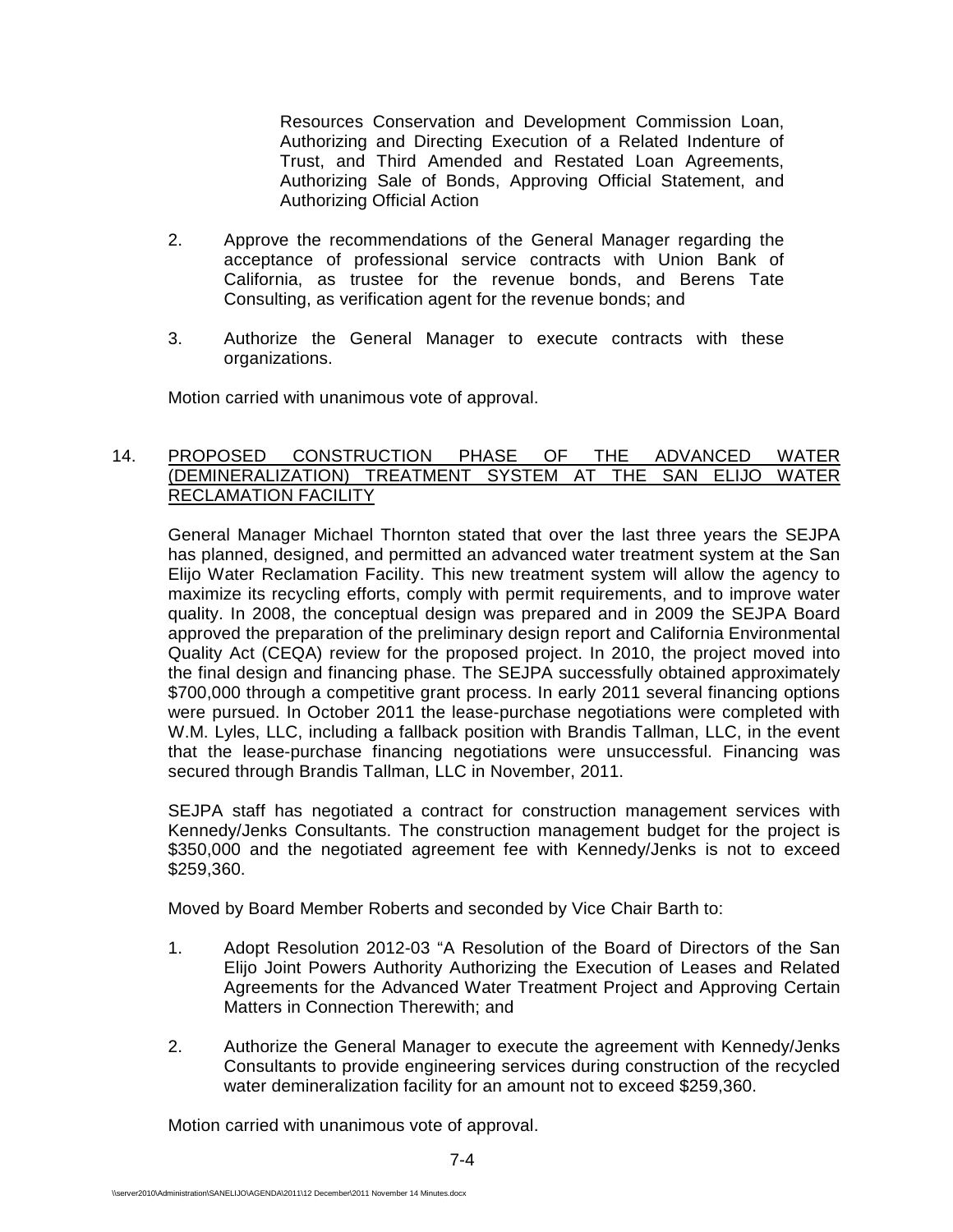Resources Conservation and Development Commission Loan, Authorizing and Directing Execution of a Related Indenture of Trust, and Third Amended and Restated Loan Agreements, Authorizing Sale of Bonds, Approving Official Statement, and Authorizing Official Action

- 2. Approve the recommendations of the General Manager regarding the acceptance of professional service contracts with Union Bank of California, as trustee for the revenue bonds, and Berens Tate Consulting, as verification agent for the revenue bonds; and
- 3. Authorize the General Manager to execute contracts with these organizations.

Motion carried with unanimous vote of approval.

## 14. PROPOSED CONSTRUCTION PHASE OF THE ADVANCED WATER (DEMINERALIZATION) TREATMENT SYSTEM AT THE SAN ELIJO WATER RECLAMATION FACILITY

General Manager Michael Thornton stated that over the last three years the SEJPA has planned, designed, and permitted an advanced water treatment system at the San Elijo Water Reclamation Facility. This new treatment system will allow the agency to maximize its recycling efforts, comply with permit requirements, and to improve water quality. In 2008, the conceptual design was prepared and in 2009 the SEJPA Board approved the preparation of the preliminary design report and California Environmental Quality Act (CEQA) review for the proposed project. In 2010, the project moved into the final design and financing phase. The SEJPA successfully obtained approximately \$700,000 through a competitive grant process. In early 2011 several financing options were pursued. In October 2011 the lease-purchase negotiations were completed with W.M. Lyles, LLC, including a fallback position with Brandis Tallman, LLC, in the event that the lease-purchase financing negotiations were unsuccessful. Financing was secured through Brandis Tallman, LLC in November, 2011.

SEJPA staff has negotiated a contract for construction management services with Kennedy/Jenks Consultants. The construction management budget for the project is \$350,000 and the negotiated agreement fee with Kennedy/Jenks is not to exceed \$259,360.

Moved by Board Member Roberts and seconded by Vice Chair Barth to:

- 1. Adopt Resolution 2012-03 "A Resolution of the Board of Directors of the San Elijo Joint Powers Authority Authorizing the Execution of Leases and Related Agreements for the Advanced Water Treatment Project and Approving Certain Matters in Connection Therewith; and
- 2. Authorize the General Manager to execute the agreement with Kennedy/Jenks Consultants to provide engineering services during construction of the recycled water demineralization facility for an amount not to exceed \$259,360.

Motion carried with unanimous vote of approval.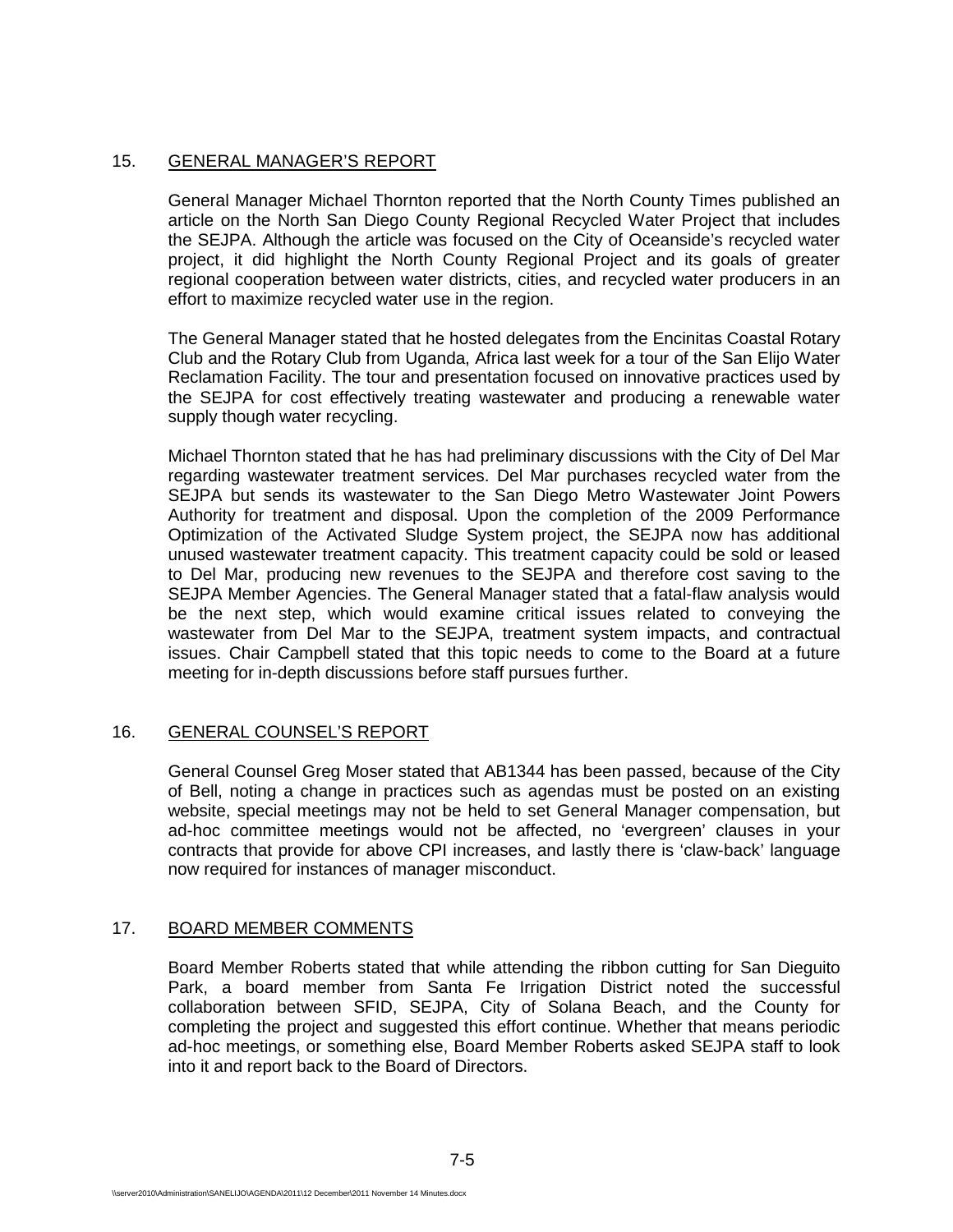# 15. GENERAL MANAGER'S REPORT

General Manager Michael Thornton reported that the North County Times published an article on the North San Diego County Regional Recycled Water Project that includes the SEJPA. Although the article was focused on the City of Oceanside's recycled water project, it did highlight the North County Regional Project and its goals of greater regional cooperation between water districts, cities, and recycled water producers in an effort to maximize recycled water use in the region.

The General Manager stated that he hosted delegates from the Encinitas Coastal Rotary Club and the Rotary Club from Uganda, Africa last week for a tour of the San Elijo Water Reclamation Facility. The tour and presentation focused on innovative practices used by the SEJPA for cost effectively treating wastewater and producing a renewable water supply though water recycling.

Michael Thornton stated that he has had preliminary discussions with the City of Del Mar regarding wastewater treatment services. Del Mar purchases recycled water from the SEJPA but sends its wastewater to the San Diego Metro Wastewater Joint Powers Authority for treatment and disposal. Upon the completion of the 2009 Performance Optimization of the Activated Sludge System project, the SEJPA now has additional unused wastewater treatment capacity. This treatment capacity could be sold or leased to Del Mar, producing new revenues to the SEJPA and therefore cost saving to the SEJPA Member Agencies. The General Manager stated that a fatal-flaw analysis would be the next step, which would examine critical issues related to conveying the wastewater from Del Mar to the SEJPA, treatment system impacts, and contractual issues. Chair Campbell stated that this topic needs to come to the Board at a future meeting for in-depth discussions before staff pursues further.

# 16. GENERAL COUNSEL'S REPORT

General Counsel Greg Moser stated that AB1344 has been passed, because of the City of Bell, noting a change in practices such as agendas must be posted on an existing website, special meetings may not be held to set General Manager compensation, but ad-hoc committee meetings would not be affected, no 'evergreen' clauses in your contracts that provide for above CPI increases, and lastly there is 'claw-back' language now required for instances of manager misconduct.

# 17. BOARD MEMBER COMMENTS

Board Member Roberts stated that while attending the ribbon cutting for San Dieguito Park, a board member from Santa Fe Irrigation District noted the successful collaboration between SFID, SEJPA, City of Solana Beach, and the County for completing the project and suggested this effort continue. Whether that means periodic ad-hoc meetings, or something else, Board Member Roberts asked SEJPA staff to look into it and report back to the Board of Directors.